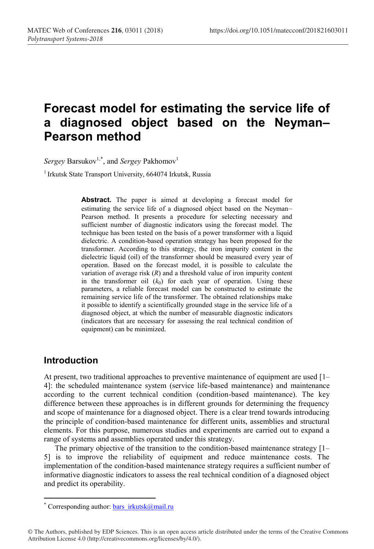# **Forecast model for estimating the service life of a diagnosed object based on the Neyman– Pearson method**

 $Sergey$  Barsukov<sup>1,\*</sup>, and *Sergey* Pakhomov<sup>1</sup>

<sup>1</sup> Irkutsk State Transport University, 664074 Irkutsk, Russia

**Abstract.** The paper is aimed at developing a forecast model for estimating the service life of a diagnosed object based on the Neyman– Pearson method. It presents a procedure for selecting necessary and sufficient number of diagnostic indicators using the forecast model. The technique has been tested on the basis of a power transformer with a liquid dielectric. A condition-based operation strategy has been proposed for the transformer. According to this strategy, the iron impurity content in the dielectric liquid (oil) of the transformer should be measured every year of operation. Based on the forecast model, it is possible to calculate the variation of average risk (*R*) and a threshold value of iron impurity content in the transformer oil  $(k_0)$  for each year of operation. Using these parameters, a reliable forecast model can be constructed to estimate the remaining service life of the transformer. The obtained relationships make it possible to identify a scientifically grounded stage in the service life of a diagnosed object, at which the number of measurable diagnostic indicators (indicators that are necessary for assessing the real technical condition of equipment) can be minimized.

#### **Introduction**

At present, two traditional approaches to preventive maintenance of equipment are used [1– 4]: the scheduled maintenance system (service life-based maintenance) and maintenance according to the current technical condition (condition-based maintenance). The key difference between these approaches is in different grounds for determining the frequency and scope of maintenance for a diagnosed object. There is a clear trend towards introducing the principle of condition-based maintenance for different units, assemblies and structural elements. For this purpose, numerous studies and experiments are carried out to expand a range of systems and assemblies operated under this strategy.

The primary objective of the transition to the condition-based maintenance strategy [1– 5] is to improve the reliability of equipment and reduce maintenance costs. The implementation of the condition-based maintenance strategy requires a sufficient number of informative diagnostic indicators to assess the real technical condition of a diagnosed object and predict its operability.

<sup>\*</sup> Corresponding author: bars  $irkutsk@mail.ru$ 

<sup>©</sup> The Authors, published by EDP Sciences. This is an open access article distributed under the terms of the Creative Commons Attribution License 4.0 (http://creativecommons.org/licenses/by/4.0/).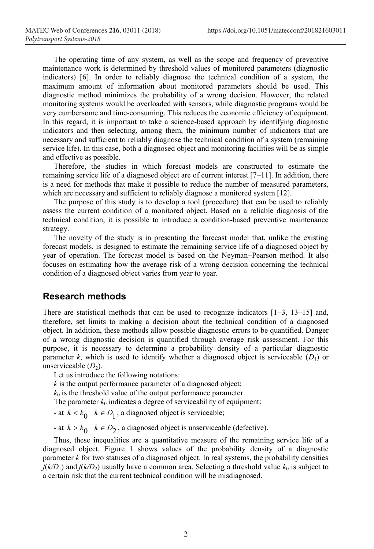The operating time of any system, as well as the scope and frequency of preventive maintenance work is determined by threshold values of monitored parameters (diagnostic indicators) [6]. In order to reliably diagnose the technical condition of a system, the maximum amount of information about monitored parameters should be used. This diagnostic method minimizes the probability of a wrong decision. However, the related monitoring systems would be overloaded with sensors, while diagnostic programs would be very cumbersome and time-consuming. This reduces the economic efficiency of equipment. In this regard, it is important to take a science-based approach by identifying diagnostic indicators and then selecting, among them, the minimum number of indicators that are necessary and sufficient to reliably diagnose the technical condition of a system (remaining service life). In this case, both a diagnosed object and monitoring facilities will be as simple and effective as possible.

Therefore, the studies in which forecast models are constructed to estimate the remaining service life of a diagnosed object are of current interest [7–11]. In addition, there is a need for methods that make it possible to reduce the number of measured parameters, which are necessary and sufficient to reliably diagnose a monitored system [12].

The purpose of this study is to develop a tool (procedure) that can be used to reliably assess the current condition of a monitored object. Based on a reliable diagnosis of the technical condition, it is possible to introduce a condition-based preventive maintenance strategy.

The novelty of the study is in presenting the forecast model that, unlike the existing forecast models, is designed to estimate the remaining service life of a diagnosed object by year of operation. The forecast model is based on the Neyman–Pearson method. It also focuses on estimating how the average risk of a wrong decision concerning the technical condition of a diagnosed object varies from year to year.

#### **Research methods**

There are statistical methods that can be used to recognize indicators  $[1-3, 13-15]$  and, therefore, set limits to making a decision about the technical condition of a diagnosed object. In addition, these methods allow possible diagnostic errors to be quantified. Danger of a wrong diagnostic decision is quantified through average risk assessment. For this purpose, it is necessary to determine a probability density of a particular diagnostic parameter *k*, which is used to identify whether a diagnosed object is serviceable  $(D_1)$  or unserviceable  $(D_2)$ .

Let us introduce the following notations:

*k* is the output performance parameter of a diagnosed object;

 $k_0$  is the threshold value of the output performance parameter.

The parameter  $k_0$  indicates a degree of serviceability of equipment:

- at  $k < k_0$   $k \in D_1$ , a diagnosed object is serviceable;

- at  $k > k_0$   $k \in D_2$ , a diagnosed object is unserviceable (defective).

Thus, these inequalities are a quantitative measure of the remaining service life of a diagnosed object. Figure 1 shows values of the probability density of a diagnostic parameter  $k$  for two statuses of a diagnosed object. In real systems, the probability densities  $f(k/D_1)$  and  $f(k/D_2)$  usually have a common area. Selecting a threshold value  $k_0$  is subject to a certain risk that the current technical condition will be misdiagnosed.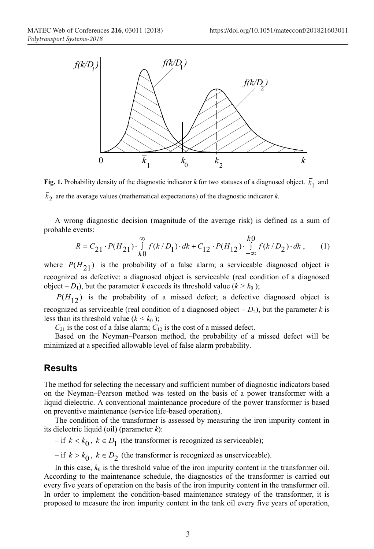

**Fig. 1.** Probability density of the diagnostic indicator *k* for two statuses of a diagnosed object.  $\bar{k}_1$  and  $\bar{k}_2$  are the average values (mathematical expectations) of the diagnostic indicator *k*.

A wrong diagnostic decision (magnitude of the average risk) is defined as a sum of probable events:

$$
R = C_{21} \cdot P(H_{21}) \cdot \int_{k0}^{\infty} f(k/D_1) \cdot dk + C_{12} \cdot P(H_{12}) \cdot \int_{-\infty}^{k0} f(k/D_2) \cdot dk , \qquad (1)
$$

where  $P(H_{21})$  is the probability of a false alarm; a serviceable diagnosed object is recognized as defective: a diagnosed object is serviceable (real condition of a diagnosed object –  $D_1$ ), but the parameter *k* exceeds its threshold value ( $k > k_0$ );

 $P(H_{12})$  is the probability of a missed defect; a defective diagnosed object is recognized as serviceable (real condition of a diagnosed object  $-D_2$ ), but the parameter *k* is less than its threshold value ( $k < k_0$ );

 $C_{21}$  is the cost of a false alarm;  $C_{12}$  is the cost of a missed defect.

Based on the Neyman–Pearson method, the probability of a missed defect will be minimized at a specified allowable level of false alarm probability.

#### **Results**

The method for selecting the necessary and sufficient number of diagnostic indicators based on the Neyman–Pearson method was tested on the basis of a power transformer with a liquid dielectric. A conventional maintenance procedure of the power transformer is based on preventive maintenance (service life-based operation).

The condition of the transformer is assessed by measuring the iron impurity content in its dielectric liquid (oil) (parameter *k*):

 $-$  if  $k < k_0$ ,  $k \in D_1$  (the transformer is recognized as serviceable);

 $-$  if  $k > k_0$ ,  $k \in D_2$  (the transformer is recognized as unserviceable).

In this case,  $k_0$  is the threshold value of the iron impurity content in the transformer oil. According to the maintenance schedule, the diagnostics of the transformer is carried out every five years of operation on the basis of the iron impurity content in the transformer oil. In order to implement the condition-based maintenance strategy of the transformer, it is proposed to measure the iron impurity content in the tank oil every five years of operation,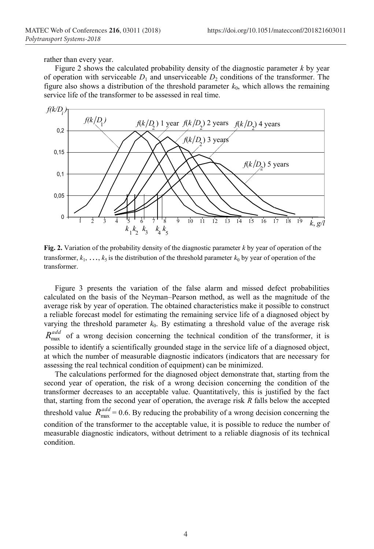rather than every year.

Figure 2 shows the calculated probability density of the diagnostic parameter *k* by year of operation with serviceable  $D_1$  and unserviceable  $D_2$  conditions of the transformer. The figure also shows a distribution of the threshold parameter  $k_0$ , which allows the remaining service life of the transformer to be assessed in real time.



**Fig. 2.** Variation of the probability density of the diagnostic parameter *k* by year of operation of the transformer,  $k_1, \ldots, k_5$  is the distribution of the threshold parameter  $k_0$  by year of operation of the transformer.

Figure 3 presents the variation of the false alarm and missed defect probabilities calculated on the basis of the Neyman–Pearson method, as well as the magnitude of the average risk by year of operation. The obtained characteristics make it possible to construct a reliable forecast model for estimating the remaining service life of a diagnosed object by varying the threshold parameter  $k_0$ . By estimating a threshold value of the average risk  $R_{\text{max}}^{add}$  of a wrong decision concerning the technical condition of the transformer, it is possible to identify a scientifically grounded stage in the service life of a diagnosed object, at which the number of measurable diagnostic indicators (indicators that are necessary for assessing the real technical condition of equipment) can be minimized.

The calculations performed for the diagnosed object demonstrate that, starting from the second year of operation, the risk of a wrong decision concerning the condition of the transformer decreases to an acceptable value. Quantitatively, this is justified by the fact that, starting from the second year of operation, the average risk *R* falls below the accepted threshold value  $R_{\text{max}}^{add} = 0.6$ . By reducing the probability of a wrong decision concerning the condition of the transformer to the acceptable value, it is possible to reduce the number of measurable diagnostic indicators, without detriment to a reliable diagnosis of its technical condition.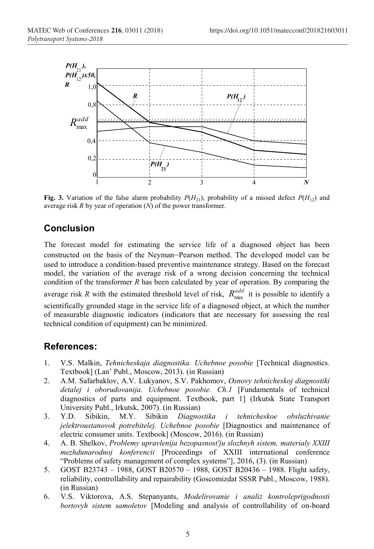

**Fig. 3.** Variation of the false alarm probability  $P(H_{21})$ , probability of a missed defect  $P(H_{12})$  and average risk *R* by year of operation (*N*) of the power transformer.

## **Conclusion**

The forecast model for estimating the service life of a diagnosed object has been constructed on the basis of the Neyman–Pearson method. The developed model can be used to introduce a condition-based preventive maintenance strategy. Based on the forecast model, the variation of the average risk of a wrong decision concerning the technical condition of the transformer *R* has been calculated by year of operation. By comparing the average risk *R* with the estimated threshold level of risk,  $R_{\text{max}}^{add}$  it is possible to identify a scientifically grounded stage in the service life of a diagnosed object, at which the number of measurable diagnostic indicators (indicators that are necessary for assessing the real technical condition of equipment) can be minimized.

### **References:**

- 1. V.S. Malkin, *Tehnicheskaja diagnostika. Uchebnoe posobie* [Technical diagnostics. Textbook] (Lan' Publ., Moscow, 2013). (in Russian)
- 2. А.М. Safarbaklov, А.V. Lukyanov, S.V. Pakhomov, *Osnovy tehnicheskoj diagnostiki detalej i oborudovanija. Uchebnoe posobie. Ch.1* [Fundamentals of technical diagnostics of parts and equipment. Textbook, part 1] (Irkutsk State Transport University Publ., Irkutsk, 2007). (in Russian)<br>Y.D. Sibikin, M.Y. Sibikin Diagno.
- 3. Y.D. Sibikin, М.Y. Sibikin *Diagnostika i tehnicheskoe obsluzhivanie jelektroustanovok potrebitelej. Uchebnoe posobie* [Diagnostics and maintenance of electric consumer units. Textbook] (Moscow, 2016). (in Russian)
- 4. А. B. Shelkov, *Problemy upravlenija bezopasnost'ju slozhnyh sistem, materialy XXIII mezhdunarodnoj konferencii* [Proceedings of XXIII international conference "Problems of safety management of complex systems"], 2016, (3). (in Russian)
- 5. GOST В23743 1988, GOST В20570 1988, GOST В20436 1988. Flight safety, reliability, controllability and repairability (Goscomizdat SSSR Publ., Moscow, 1988). (in Russian)
- 6. V.S. Viktorova, А.S. Stepanyants, *Modelirovanie i analiz kontroleprigodnosti bortovyh sistem samoletov* [Modeling and analysis of controllability of on-board